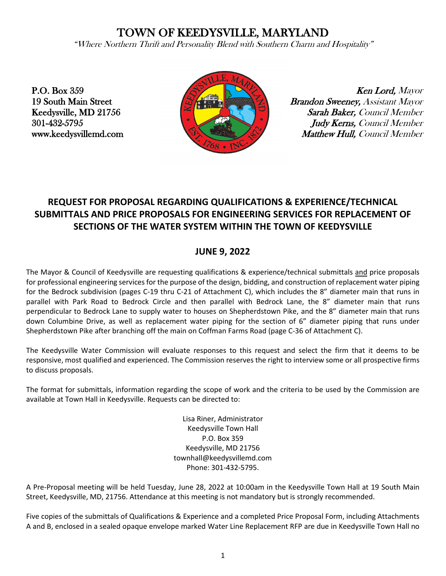# TOWN OF KEEDYSVILLE, MARYLAND

"Where Northern Thrift and Personality Blend with Southern Charm and Hospitality"

P.O. Box 359 19 South Main Street Keedysville, MD 21756 301-432-5795 www.keedysvillemd.com



Ken Lord, Mayor Brandon Sweeney, Assistant Mayor Sarah Baker, Council Member Judy Kerns, Council Member Matthew Hull, Council Member

## **REQUEST FOR PROPOSAL REGARDING QUALIFICATIONS & EXPERIENCE/TECHNICAL SUBMITTALS AND PRICE PROPOSALS FOR ENGINEERING SERVICES FOR REPLACEMENT OF SECTIONS OF THE WATER SYSTEM WITHIN THE TOWN OF KEEDYSVILLE**

### **JUNE 9, 2022**

The Mayor & Council of Keedysville are requesting qualifications & experience/technical submittals and price proposals for professional engineering services for the purpose of the design, bidding, and construction of replacement water piping for the Bedrock subdivision (pages C-19 thru C-21 of Attachment C), which includes the 8" diameter main that runs in parallel with Park Road to Bedrock Circle and then parallel with Bedrock Lane, the 8" diameter main that runs perpendicular to Bedrock Lane to supply water to houses on Shepherdstown Pike, and the 8" diameter main that runs down Columbine Drive, as well as replacement water piping for the section of 6" diameter piping that runs under Shepherdstown Pike after branching off the main on Coffman Farms Road (page C-36 of Attachment C).

The Keedysville Water Commission will evaluate responses to this request and select the firm that it deems to be responsive, most qualified and experienced. The Commission reserves the right to interview some or all prospective firms to discuss proposals.

The format for submittals, information regarding the scope of work and the criteria to be used by the Commission are available at Town Hall in Keedysville. Requests can be directed to:

> Lisa Riner, Administrator Keedysville Town Hall P.O. Box 359 Keedysville, MD 21756 townhall@keedysvillemd.com Phone: 301-432-5795.

A Pre-Proposal meeting will be held Tuesday, June 28, 2022 at 10:00am in the Keedysville Town Hall at 19 South Main Street, Keedysville, MD, 21756. Attendance at this meeting is not mandatory but is strongly recommended.

Five copies of the submittals of Qualifications & Experience and a completed Price Proposal Form, including Attachments A and B, enclosed in a sealed opaque envelope marked Water Line Replacement RFP are due in Keedysville Town Hall no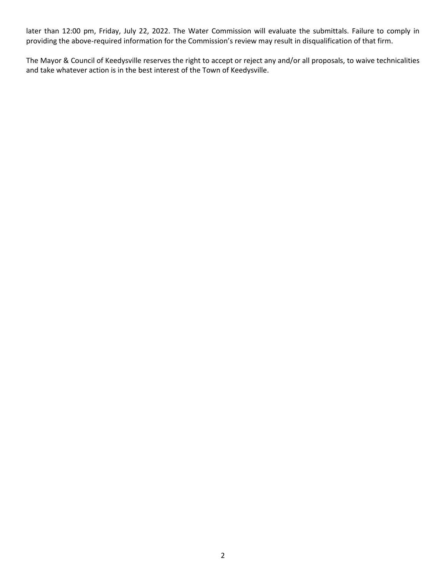later than 12:00 pm, Friday, July 22, 2022. The Water Commission will evaluate the submittals. Failure to comply in providing the above-required information for the Commission's review may result in disqualification of that firm.

The Mayor & Council of Keedysville reserves the right to accept or reject any and/or all proposals, to waive technicalities and take whatever action is in the best interest of the Town of Keedysville.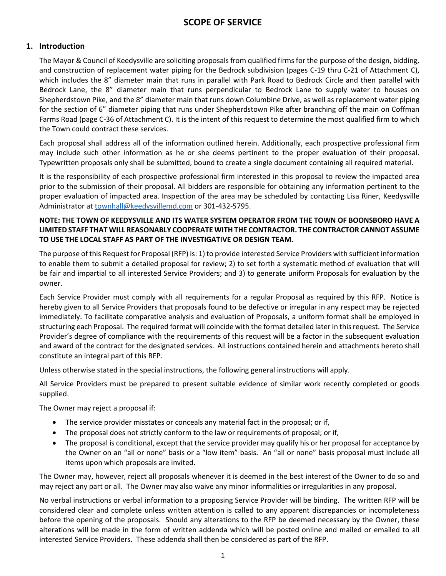### **1. Introduction**

The Mayor & Council of Keedysville are soliciting proposals from qualified firms for the purpose of the design, bidding, and construction of replacement water piping for the Bedrock subdivision (pages C-19 thru C-21 of Attachment C), which includes the 8" diameter main that runs in parallel with Park Road to Bedrock Circle and then parallel with Bedrock Lane, the 8" diameter main that runs perpendicular to Bedrock Lane to supply water to houses on Shepherdstown Pike, and the 8" diameter main that runs down Columbine Drive, as well as replacement water piping for the section of 6" diameter piping that runs under Shepherdstown Pike after branching off the main on Coffman Farms Road (page C-36 of Attachment C). It is the intent of this request to determine the most qualified firm to which the Town could contract these services.

Each proposal shall address all of the information outlined herein. Additionally, each prospective professional firm may include such other information as he or she deems pertinent to the proper evaluation of their proposal. Typewritten proposals only shall be submitted, bound to create a single document containing all required material.

It is the responsibility of each prospective professional firm interested in this proposal to review the impacted area prior to the submission of their proposal. All bidders are responsible for obtaining any information pertinent to the proper evaluation of impacted area. Inspection of the area may be scheduled by contacting Lisa Riner, Keedysville Administrator at [townhall@keedysvillemd.com](mailto:townhall@keedysvillemd.com) or 301-432-5795.

#### **NOTE: THE TOWN OF KEEDYSVILLE AND ITS WATER SYSTEM OPERATOR FROM THE TOWN OF BOONSBORO HAVE A LIMITED STAFF THAT WILL REASONABLY COOPERATE WITH THE CONTRACTOR. THE CONTRACTOR CANNOT ASSUME TO USE THE LOCAL STAFF AS PART OF THE INVESTIGATIVE OR DESIGN TEAM.**

The purpose of this Request for Proposal (RFP) is: 1) to provide interested Service Providers with sufficient information to enable them to submit a detailed proposal for review; 2) to set forth a systematic method of evaluation that will be fair and impartial to all interested Service Providers; and 3) to generate uniform Proposals for evaluation by the owner.

Each Service Provider must comply with all requirements for a regular Proposal as required by this RFP. Notice is hereby given to all Service Providers that proposals found to be defective or irregular in any respect may be rejected immediately. To facilitate comparative analysis and evaluation of Proposals, a uniform format shall be employed in structuring each Proposal. The required format will coincide with the format detailed later in this request. The Service Provider's degree of compliance with the requirements of this request will be a factor in the subsequent evaluation and award of the contract for the designated services. All instructions contained herein and attachments hereto shall constitute an integral part of this RFP.

Unless otherwise stated in the special instructions, the following general instructions will apply.

All Service Providers must be prepared to present suitable evidence of similar work recently completed or goods supplied.

The Owner may reject a proposal if:

- The service provider misstates or conceals any material fact in the proposal; or if,
- The proposal does not strictly conform to the law or requirements of proposal; or if,
- The proposal is conditional, except that the service provider may qualify his or her proposal for acceptance by the Owner on an "all or none" basis or a "low item" basis. An "all or none" basis proposal must include all items upon which proposals are invited.

The Owner may, however, reject all proposals whenever it is deemed in the best interest of the Owner to do so and may reject any part or all. The Owner may also waive any minor informalities or irregularities in any proposal.

No verbal instructions or verbal information to a proposing Service Provider will be binding. The written RFP will be considered clear and complete unless written attention is called to any apparent discrepancies or incompleteness before the opening of the proposals. Should any alterations to the RFP be deemed necessary by the Owner, these alterations will be made in the form of written addenda which will be posted online and mailed or emailed to all interested Service Providers. These addenda shall then be considered as part of the RFP.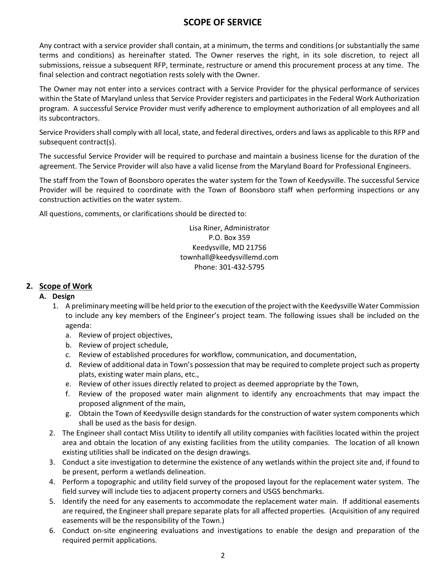Any contract with a service provider shall contain, at a minimum, the terms and conditions (or substantially the same terms and conditions) as hereinafter stated. The Owner reserves the right, in its sole discretion, to reject all submissions, reissue a subsequent RFP, terminate, restructure or amend this procurement process at any time. The final selection and contract negotiation rests solely with the Owner.

The Owner may not enter into a services contract with a Service Provider for the physical performance of services within the State of Maryland unless that Service Provider registers and participates in the Federal Work Authorization program. A successful Service Provider must verify adherence to employment authorization of all employees and all its subcontractors.

Service Providers shall comply with all local, state, and federal directives, orders and laws as applicable to this RFP and subsequent contract(s).

The successful Service Provider will be required to purchase and maintain a business license for the duration of the agreement. The Service Provider will also have a valid license from the Maryland Board for Professional Engineers.

The staff from the Town of Boonsboro operates the water system for the Town of Keedysville. The successful Service Provider will be required to coordinate with the Town of Boonsboro staff when performing inspections or any construction activities on the water system.

All questions, comments, or clarifications should be directed to:

Lisa Riner, Administrator P.O. Box 359 Keedysville, MD 21756 [townhall@keedysvillemd.com](mailto:townhall@keedysvillemd.com) Phone: 301-432-5795

### **2. Scope of Work**

### **A. Design**

- 1. A preliminary meeting will be held prior to the execution of the project with the Keedysville Water Commission to include any key members of the Engineer's project team. The following issues shall be included on the agenda:
	- a. Review of project objectives,
	- b. Review of project schedule,
	- c. Review of established procedures for workflow, communication, and documentation,
	- d. Review of additional data in Town's possession that may be required to complete project such as property plats, existing water main plans, etc.,
	- e. Review of other issues directly related to project as deemed appropriate by the Town,
	- f. Review of the proposed water main alignment to identify any encroachments that may impact the proposed alignment of the main,
	- g. Obtain the Town of Keedysville design standards for the construction of water system components which shall be used as the basis for design.
- 2. The Engineer shall contact Miss Utility to identify all utility companies with facilities located within the project area and obtain the location of any existing facilities from the utility companies. The location of all known existing utilities shall be indicated on the design drawings.
- 3. Conduct a site investigation to determine the existence of any wetlands within the project site and, if found to be present, perform a wetlands delineation.
- 4. Perform a topographic and utility field survey of the proposed layout for the replacement water system. The field survey will include ties to adjacent property corners and USGS benchmarks.
- 5. Identify the need for any easements to accommodate the replacement water main. If additional easements are required, the Engineer shall prepare separate plats for all affected properties. (Acquisition of any required easements will be the responsibility of the Town.)
- 6. Conduct on-site engineering evaluations and investigations to enable the design and preparation of the required permit applications.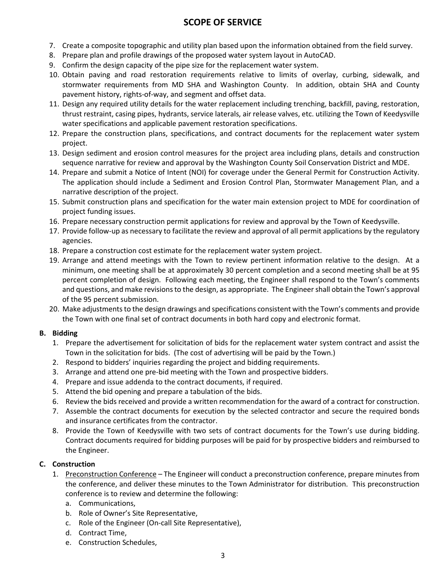- 7. Create a composite topographic and utility plan based upon the information obtained from the field survey.
- 8. Prepare plan and profile drawings of the proposed water system layout in AutoCAD.
- 9. Confirm the design capacity of the pipe size for the replacement water system.
- 10. Obtain paving and road restoration requirements relative to limits of overlay, curbing, sidewalk, and stormwater requirements from MD SHA and Washington County. In addition, obtain SHA and County pavement history, rights-of-way, and segment and offset data.
- 11. Design any required utility details for the water replacement including trenching, backfill, paving, restoration, thrust restraint, casing pipes, hydrants, service laterals, air release valves, etc. utilizing the Town of Keedysville water specifications and applicable pavement restoration specifications.
- 12. Prepare the construction plans, specifications, and contract documents for the replacement water system project.
- 13. Design sediment and erosion control measures for the project area including plans, details and construction sequence narrative for review and approval by the Washington County Soil Conservation District and MDE.
- 14. Prepare and submit a Notice of Intent (NOI) for coverage under the General Permit for Construction Activity. The application should include a Sediment and Erosion Control Plan, Stormwater Management Plan, and a narrative description of the project.
- 15. Submit construction plans and specification for the water main extension project to MDE for coordination of project funding issues.
- 16. Prepare necessary construction permit applications for review and approval by the Town of Keedysville.
- 17. Provide follow-up as necessary to facilitate the review and approval of all permit applications by the regulatory agencies.
- 18. Prepare a construction cost estimate for the replacement water system project.
- 19. Arrange and attend meetings with the Town to review pertinent information relative to the design. At a minimum, one meeting shall be at approximately 30 percent completion and a second meeting shall be at 95 percent completion of design. Following each meeting, the Engineer shall respond to the Town's comments and questions, and make revisions to the design, as appropriate. The Engineer shall obtain the Town's approval of the 95 percent submission.
- 20. Make adjustments to the design drawings and specifications consistent with the Town's comments and provide the Town with one final set of contract documents in both hard copy and electronic format.

#### **B. Bidding**

- 1. Prepare the advertisement for solicitation of bids for the replacement water system contract and assist the Town in the solicitation for bids. (The cost of advertising will be paid by the Town.)
- 2. Respond to bidders' inquiries regarding the project and bidding requirements.
- 3. Arrange and attend one pre-bid meeting with the Town and prospective bidders.
- 4. Prepare and issue addenda to the contract documents, if required.
- 5. Attend the bid opening and prepare a tabulation of the bids.
- 6. Review the bids received and provide a written recommendation for the award of a contract for construction.
- 7. Assemble the contract documents for execution by the selected contractor and secure the required bonds and insurance certificates from the contractor.
- 8. Provide the Town of Keedysville with two sets of contract documents for the Town's use during bidding. Contract documents required for bidding purposes will be paid for by prospective bidders and reimbursed to the Engineer.

### **C. Construction**

- 1. Preconstruction Conference The Engineer will conduct a preconstruction conference, prepare minutes from the conference, and deliver these minutes to the Town Administrator for distribution. This preconstruction conference is to review and determine the following:
	- a. Communications,
	- b. Role of Owner's Site Representative,
	- c. Role of the Engineer (On-call Site Representative),
	- d. Contract Time,
	- e. Construction Schedules,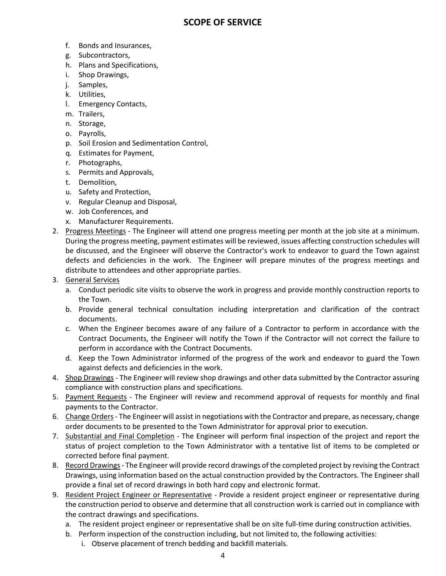- f. Bonds and Insurances,
- g. Subcontractors,
- h. Plans and Specifications,
- i. Shop Drawings,
- j. Samples,
- k. Utilities,
- l. Emergency Contacts,
- m. Trailers,
- n. Storage,
- o. Payrolls,
- p. Soil Erosion and Sedimentation Control,
- q. Estimates for Payment,
- r. Photographs,
- s. Permits and Approvals,
- t. Demolition,
- u. Safety and Protection,
- v. Regular Cleanup and Disposal,
- w. Job Conferences, and
- x. Manufacturer Requirements.
- 2. Progress Meetings The Engineer will attend one progress meeting per month at the job site at a minimum. During the progress meeting, payment estimates will be reviewed, issues affecting construction schedules will be discussed, and the Engineer will observe the Contractor's work to endeavor to guard the Town against defects and deficiencies in the work. The Engineer will prepare minutes of the progress meetings and distribute to attendees and other appropriate parties.
- 3. General Services
	- a. Conduct periodic site visits to observe the work in progress and provide monthly construction reports to the Town.
	- b. Provide general technical consultation including interpretation and clarification of the contract documents.
	- c. When the Engineer becomes aware of any failure of a Contractor to perform in accordance with the Contract Documents, the Engineer will notify the Town if the Contractor will not correct the failure to perform in accordance with the Contract Documents.
	- d. Keep the Town Administrator informed of the progress of the work and endeavor to guard the Town against defects and deficiencies in the work.
- 4. Shop Drawings The Engineer will review shop drawings and other data submitted by the Contractor assuring compliance with construction plans and specifications.
- 5. Payment Requests The Engineer will review and recommend approval of requests for monthly and final payments to the Contractor.
- 6. Change Orders The Engineer will assist in negotiations with the Contractor and prepare, as necessary, change order documents to be presented to the Town Administrator for approval prior to execution.
- 7. Substantial and Final Completion The Engineer will perform final inspection of the project and report the status of project completion to the Town Administrator with a tentative list of items to be completed or corrected before final payment.
- 8. Record Drawings The Engineer will provide record drawings of the completed project by revising the Contract Drawings, using information based on the actual construction provided by the Contractors. The Engineer shall provide a final set of record drawings in both hard copy and electronic format.
- 9. Resident Project Engineer or Representative Provide a resident project engineer or representative during the construction period to observe and determine that all construction work is carried out in compliance with the contract drawings and specifications.
	- a. The resident project engineer or representative shall be on site full-time during construction activities.
	- b. Perform inspection of the construction including, but not limited to, the following activities:
		- i. Observe placement of trench bedding and backfill materials.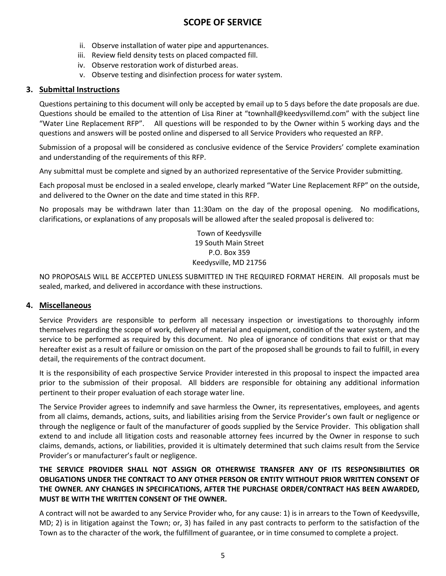- ii. Observe installation of water pipe and appurtenances.
- iii. Review field density tests on placed compacted fill.
- iv. Observe restoration work of disturbed areas.
- v. Observe testing and disinfection process for water system.

### **3. Submittal Instructions**

Questions pertaining to this document will only be accepted by email up to 5 days before the date proposals are due. Questions should be emailed to the attention of Lisa Riner at "townhall@keedysvillemd.com" with the subject line "Water Line Replacement RFP". All questions will be responded to by the Owner within 5 working days and the questions and answers will be posted online and dispersed to all Service Providers who requested an RFP.

Submission of a proposal will be considered as conclusive evidence of the Service Providers' complete examination and understanding of the requirements of this RFP.

Any submittal must be complete and signed by an authorized representative of the Service Provider submitting.

Each proposal must be enclosed in a sealed envelope, clearly marked "Water Line Replacement RFP" on the outside, and delivered to the Owner on the date and time stated in this RFP.

No proposals may be withdrawn later than 11:30am on the day of the proposal opening. No modifications, clarifications, or explanations of any proposals will be allowed after the sealed proposal is delivered to:

> Town of Keedysville 19 South Main Street P.O. Box 359 Keedysville, MD 21756

NO PROPOSALS WILL BE ACCEPTED UNLESS SUBMITTED IN THE REQUIRED FORMAT HEREIN. All proposals must be sealed, marked, and delivered in accordance with these instructions.

### **4. Miscellaneous**

Service Providers are responsible to perform all necessary inspection or investigations to thoroughly inform themselves regarding the scope of work, delivery of material and equipment, condition of the water system, and the service to be performed as required by this document. No plea of ignorance of conditions that exist or that may hereafter exist as a result of failure or omission on the part of the proposed shall be grounds to fail to fulfill, in every detail, the requirements of the contract document.

It is the responsibility of each prospective Service Provider interested in this proposal to inspect the impacted area prior to the submission of their proposal. All bidders are responsible for obtaining any additional information pertinent to their proper evaluation of each storage water line.

The Service Provider agrees to indemnify and save harmless the Owner, its representatives, employees, and agents from all claims, demands, actions, suits, and liabilities arising from the Service Provider's own fault or negligence or through the negligence or fault of the manufacturer of goods supplied by the Service Provider. This obligation shall extend to and include all litigation costs and reasonable attorney fees incurred by the Owner in response to such claims, demands, actions, or liabilities, provided it is ultimately determined that such claims result from the Service Provider's or manufacturer's fault or negligence.

### **THE SERVICE PROVIDER SHALL NOT ASSIGN OR OTHERWISE TRANSFER ANY OF ITS RESPONSIBILITIES OR OBLIGATIONS UNDER THE CONTRACT TO ANY OTHER PERSON OR ENTITY WITHOUT PRIOR WRITTEN CONSENT OF THE OWNER. ANY CHANGES IN SPECIFICATIONS, AFTER THE PURCHASE ORDER/CONTRACT HAS BEEN AWARDED, MUST BE WITH THE WRITTEN CONSENT OF THE OWNER.**

A contract will not be awarded to any Service Provider who, for any cause: 1) is in arrears to the Town of Keedysville, MD; 2) is in litigation against the Town; or, 3) has failed in any past contracts to perform to the satisfaction of the Town as to the character of the work, the fulfillment of guarantee, or in time consumed to complete a project.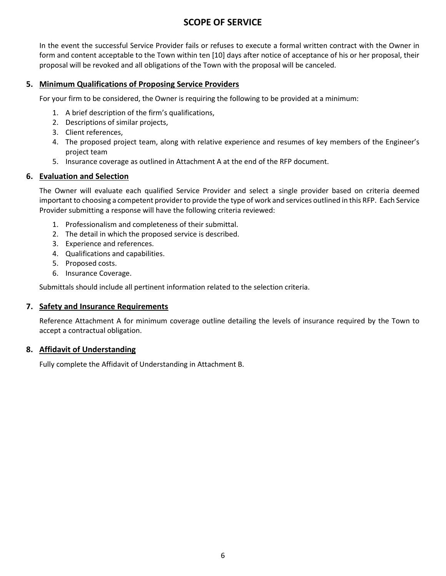In the event the successful Service Provider fails or refuses to execute a formal written contract with the Owner in form and content acceptable to the Town within ten [10] days after notice of acceptance of his or her proposal, their proposal will be revoked and all obligations of the Town with the proposal will be canceled.

### **5. Minimum Qualifications of Proposing Service Providers**

For your firm to be considered, the Owner is requiring the following to be provided at a minimum:

- 1. A brief description of the firm's qualifications,
- 2. Descriptions of similar projects,
- 3. Client references,
- 4. The proposed project team, along with relative experience and resumes of key members of the Engineer's project team
- 5. Insurance coverage as outlined in Attachment A at the end of the RFP document.

### **6. Evaluation and Selection**

The Owner will evaluate each qualified Service Provider and select a single provider based on criteria deemed important to choosing a competent provider to provide the type of work and services outlined in this RFP. Each Service Provider submitting a response will have the following criteria reviewed:

- 1. Professionalism and completeness of their submittal.
- 2. The detail in which the proposed service is described.
- 3. Experience and references.
- 4. Qualifications and capabilities.
- 5. Proposed costs.
- 6. Insurance Coverage.

Submittals should include all pertinent information related to the selection criteria.

### **7. Safety and Insurance Requirements**

Reference Attachment A for minimum coverage outline detailing the levels of insurance required by the Town to accept a contractual obligation.

### **8. Affidavit of Understanding**

Fully complete the Affidavit of Understanding in Attachment B.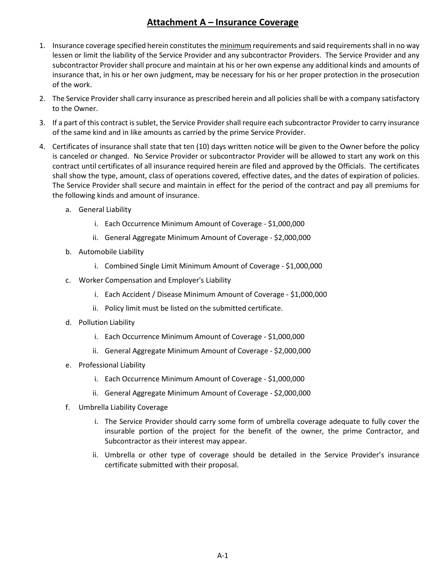### **Attachment A – Insurance Coverage**

- 1. Insurance coverage specified herein constitutes the minimum requirements and said requirements shall in no way lessen or limit the liability of the Service Provider and any subcontractor Providers. The Service Provider and any subcontractor Provider shall procure and maintain at his or her own expense any additional kinds and amounts of insurance that, in his or her own judgment, may be necessary for his or her proper protection in the prosecution of the work.
- 2. The Service Provider shall carry insurance as prescribed herein and all policies shall be with a company satisfactory to the Owner.
- 3. If a part of this contract is sublet, the Service Provider shall require each subcontractor Provider to carry insurance of the same kind and in like amounts as carried by the prime Service Provider.
- 4. Certificates of insurance shall state that ten (10) days written notice will be given to the Owner before the policy is canceled or changed. No Service Provider or subcontractor Provider will be allowed to start any work on this contract until certificates of all insurance required herein are filed and approved by the Officials. The certificates shall show the type, amount, class of operations covered, effective dates, and the dates of expiration of policies. The Service Provider shall secure and maintain in effect for the period of the contract and pay all premiums for the following kinds and amount of insurance.
	- a. General Liability
		- i. Each Occurrence Minimum Amount of Coverage \$1,000,000
		- ii. General Aggregate Minimum Amount of Coverage \$2,000,000
	- b. Automobile Liability
		- i. Combined Single Limit Minimum Amount of Coverage \$1,000,000
	- c. Worker Compensation and Employer's Liability
		- i. Each Accident / Disease Minimum Amount of Coverage \$1,000,000
		- ii. Policy limit must be listed on the submitted certificate.
	- d. Pollution Liability
		- i. Each Occurrence Minimum Amount of Coverage \$1,000,000
		- ii. General Aggregate Minimum Amount of Coverage \$2,000,000
	- e. Professional Liability
		- i. Each Occurrence Minimum Amount of Coverage \$1,000,000
		- ii. General Aggregate Minimum Amount of Coverage \$2,000,000
	- f. Umbrella Liability Coverage
		- i. The Service Provider should carry some form of umbrella coverage adequate to fully cover the insurable portion of the project for the benefit of the owner, the prime Contractor, and Subcontractor as their interest may appear.
		- ii. Umbrella or other type of coverage should be detailed in the Service Provider's insurance certificate submitted with their proposal.